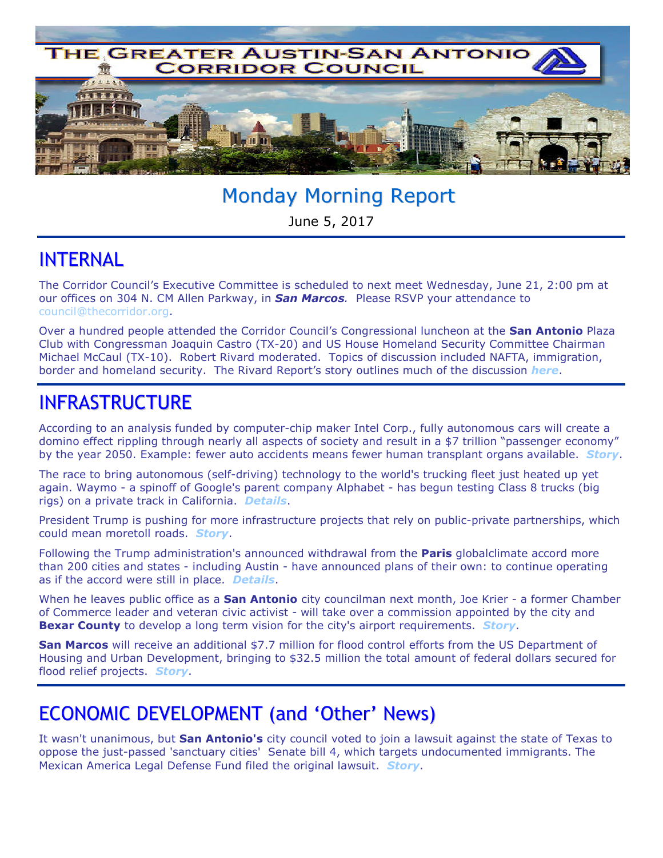

# Monday Morning Report

June 5, 2017

### INTERNAL

The Corridor Council's Executive Committee is scheduled to next meet Wednesday, June 21, 2:00 pm at our offices on 304 N. CM Allen Parkway, in *San Marcos.* Please RSVP your attendance to council@thecorridor.org.

Over a hundred people attended the Corridor Council's Congressional luncheon at the **San Antonio** Plaza Club with Congressman Joaquin Castro (TX-20) and US House Homeland Security Committee Chairman Michael McCaul (TX-10). Robert Rivard moderated. Topics of discussion included NAFTA, immigration, border and homeland security. The Rivard Report's story outlines much of the discussion *here*.

## INFRASTRUCTURE

According to an analysis funded by computer-chip maker Intel Corp., fully autonomous cars will create a domino effect rippling through nearly all aspects of society and result in a \$7 trillion "passenger economy" by the year 2050. Example: fewer auto accidents means fewer human transplant organs available. *Story*.

The race to bring autonomous (self-driving) technology to the world's trucking fleet just heated up yet again. Waymo - a spinoff of Google's parent company Alphabet - has begun testing Class 8 trucks (big rigs) on a private track in California. *Details*.

President Trump is pushing for more infrastructure projects that rely on public-private partnerships, which could mean moretoll roads. *Story*.

Following the Trump administration's announced withdrawal from the **Paris** globalclimate accord more than 200 cities and states - including Austin - have announced plans of their own: to continue operating as if the accord were still in place. *Details*.

When he leaves public office as a **San Antonio** city councilman next month, Joe Krier - a former Chamber of Commerce leader and veteran civic activist - will take over a commission appointed by the city and **Bexar County** to develop a long term vision for the city's airport requirements. *Story*.

**San Marcos** will receive an additional \$7.7 million for flood control efforts from the US Department of Housing and Urban Development, bringing to \$32.5 million the total amount of federal dollars secured for flood relief projects. *Story*.

# ECONOMIC DEVELOPMENT (and 'Other' News)

It wasn't unanimous, but **San Antonio's** city council voted to join a lawsuit against the state of Texas to oppose the just-passed 'sanctuary cities' Senate bill 4, which targets undocumented immigrants. The Mexican America Legal Defense Fund filed the original lawsuit. *Story*.